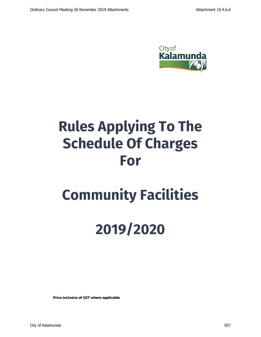

# Rules Applying To The Schedule Of Charges For

# Community Facilities

# 2019/2020

*Price inclusive of GST where applicable*

City of Kalamunda 507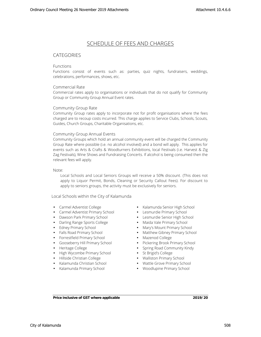# **SCHEDULE OF FEES AND CHARGES**

## **CATEGORIES**

#### **Functions**

Functions consist of events such as: parties, quiz nights, fundraisers, weddings, celebrations, performances, shows, etc.

#### **Commercial Rate**

Commercial rates apply to organisations or individuals that do not qualify for Community Group or Community Group Annual Event rates.

#### **Community Group Rate**

Community Group rates apply to incorporate not for profit organisations where the fees charged are to recoup costs incurred. This charge applies to Service Clubs, Schools, Scouts, Guides, Church Groups, Charitable Organisations, etc.

#### **Community Group Annual Events**

Community Groups which hold an annual community event will be charged the Community Group Rate where possible (i.e. no alcohol involved) and a bond will apply. This applies for events such as Arts & Crafts & Woodturners Exhibitions, local Festivals (i.e. Harvest & Zig Zag Festivals), Wine Shows and Fundraising Concerts. If alcohol is being consumed then the relevant fees will apply.

**Note:**

**Local Schools and Local Seniors Groups will receive a 50% discount. (This does not apply to Liquor Permit, Bonds, Cleaning or Security Callout Fees). For discount to apply to seniors groups, the activity must be exclusively for seniors.**

**Local Schools within the City of Kalamunda**

- Carmel Adventist College
- Carmel Adventist Primary School
- Dawson Park Primary School
- Darling Range Sports College
- Edney Primary School
- Falls Road Primary School
- Forrestfield Primary School
- Gooseberry Hill Primary School
- Heritage College
- **J** High Wycombe Primary School
- Hillside Christian College
- Kalamunda Christian School
- Kalamunda Primary School
- Kalamunda Senior High School Lesmurdie Primary School Lesmurdie Senior High School Maida Vale Primary School Mary's Mount Primary School Matthew Gibney Primary School Mazenod College Pickering Brook Primary School Spring Road Community Kindy St Brigid's College Walliston Primary School Wattle Grove Primary School Woodlupine Primary School

*Price inclusive of GST where applicable* **2019/20**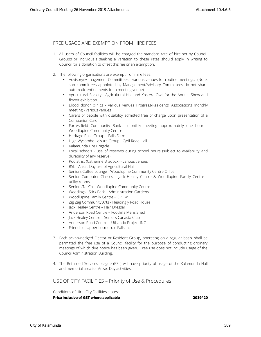### **FREE USAGE AND EXEMPTION FROM HIRE FEES**

- 1. All users of Council facilities will be charged the standard rate of hire set by Council. Groups or individuals seeking a variation to these rates should apply in writing to Council for a donation to offset this fee or an exemption.
- 2. The following organisations are exempt from hire fees:
	- Advisory/Management Committees various venues for routine meetings. (Note: sub committees appointed by Management/Advisory Committees do not share automatic entitlements for a meeting venue)
	- Agricultural Society Agricultural Hall and Kostera Oval for the Annual Show and flower exhibition
	- Blood donor clinics various venues Progress/Residents' Associations monthly meeting - various venues
	- Carers of people with disability admitted free of charge upon presentation of a Companion Card
	- Forrestfield Community Bank monthly meeting approximately one hour Woodlupine Community Centre
	- Heritage Rose Group Falls Farm
	- High Wycombe Leisure Group Cyril Road Hall
	- Kalamunda Fire Brigade
	- Local schools use of reserves during school hours (subject to availability and durability of any reserve)
	- Podiatrist (Catherine Bradock) various venues
	- RSL Anzac Day use of Agricultural Hall
	- Seniors Coffee Lounge Woodlupine Community Centre Office
	- Senior Computer Classes Jack Healey Centre & Woodlupine Family Centre utility rooms
	- Seniors Tai Chi Woodlupine Community Centre
	- Weddings Stirk Park Administration Gardens
	- Woodlupine Family Centre GROW
	- Zig Zag Community Arts Headingly Road House
	- Jack Healey Centre Hair Dresser
	- Anderson Road Centre Foothills Mens Shed
	- Jack Healey Centre Seniors Canasta Club
	- Anderson Road Centre Uthando Project INC
	- Friends of Upper Lesmurdie Falls Inc.
- 3. Each acknowledged Elector or Resident Group, operating on a regular basis, shall be permitted the free use of a Council facility for the purpose of conducting ordinary meetings of which due notice has been given. Free use does not include usage of the Council Administration Building.
- 4. The Returned Services League (RSL) will have priority of usage of the Kalamunda Hall and memorial area for Anzac Day activities.

### **USE OF CITY FACILITIES – Priority of Use & Procedures**

Conditions of Hire, City Facilities states:

*Price inclusive of GST where applicable* **2019/20**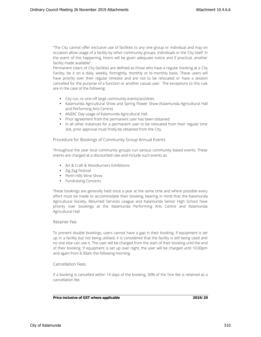"The City cannot offer exclusive use of facilities to any one group or individual and may on occasion allow usage of a facility by other community groups, individuals or the City itself. In the event of this happening, hirers will be given adequate notice and if practical, another facility made available".

Permanent Users of City facilities are defined as those who have a regular booking at a City Facility, be it on a daily, weekly, fortnightly, monthly or bi-monthly basis. These users will have priority over their regular timeslot and are not to be relocated or have a session cancelled for the purpose of a function or another casual user. The exceptions to this rule are in the case of the following:

- City run, or one-off large community events/activities
- Kalamunda Agricultural Show and Spring Flower Show (Kalamunda Agricultural Hall and Performing Arts Centre)
- ANZAC Day usage of Kalamunda Agricultural Hall
- Prior agreement from the permanent user has been obtained
- In all other instances for a permanent user to be relocated from their regular time slot, prior approval must firstly be obtained from the City.

**Procedure for Bookings of Community Group Annual Events**

Throughout the year local community groups run various community based events. These events are charged at a discounted rate and include such events as:

 Art & Craft & Woodturners Exhibitions Zig Zag Festival Perth Hills Wine Show Fundraising Concerts

These bookings are generally held once a year at the same time and where possible every effort must be made to accommodate their booking, bearing in mind that the Kalamunda Agricultural Society, Returned Services League and Kalamunda Senior High School have priority over bookings at the Kalamunda Performing Arts Centre and Kalamunda Agricultural Hall.

#### **Retainer Fee**

To prevent double bookings, users cannot have a gap in their booking. If equipment is set up in a facility but not being utilised, it is considered that the facility is still being used and no one else can use it. The user will be charged from the start of their booking until the end of their booking. If equipment is set up over night, the user will be charged until 10.00pm and again from 8.30am the following morning.

#### **Cancellation Fees**

If a booking is cancelled within 14 days of the booking, 50% of the hire fee is retained as a cancellation fee.